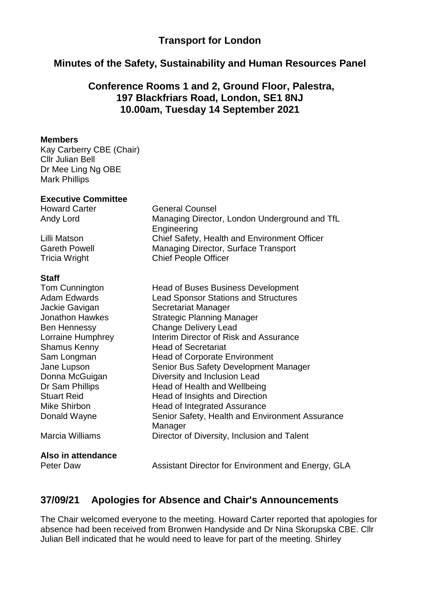## **Transport for London**

### **Minutes of the Safety, Sustainability and Human Resources Panel**

### **Conference Rooms 1 and 2, Ground Floor, Palestra, 197 Blackfriars Road, London, SE1 8NJ 10.00am, Tuesday 14 September 2021**

#### **Members**

Kay Carberry CBE (Chair) Cllr Julian Bell Dr Mee Ling Ng OBE Mark Phillips

### **Executive Committee**

Howard Carter General Counsel Andy Lord Managing Director, London Underground and TfL

Lilli Matson Chief Safety, Health and Environment Officer Gareth Powell Managing Director, Surface Transport Tricia Wright Chief People Officer

#### **Staff**

Tom Cunnington Head of Buses Business Development Adam Edwards Lead Sponsor Stations and Structures Jackie Gavigan Secretariat Manager Jonathon Hawkes Strategic Planning Manager Ben Hennessy Change Delivery Lead Lorraine Humphrey Interim Director of Risk and Assurance Shamus Kenny **Head of Secretariat** Sam Longman Head of Corporate Environment Jane Lupson Senior Bus Safety Development Manager Donna McGuigan Diversity and Inclusion Lead Dr Sam Phillips Head of Health and Wellbeing Stuart Reid **Head of Insights and Direction** Mike Shirbon **Head of Integrated Assurance** Donald Wayne **Senior Safety, Health and Environment Assurance** Manager Marcia Williams Director of Diversity, Inclusion and Talent

**Engineering** 

**Also in attendance**

Peter Daw **Assistant Director for Environment and Energy, GLA** 

### **37/09/21 Apologies for Absence and Chair's Announcements**

The Chair welcomed everyone to the meeting. Howard Carter reported that apologies for absence had been received from Bronwen Handyside and Dr Nina Skorupska CBE. Cllr Julian Bell indicated that he would need to leave for part of the meeting. Shirley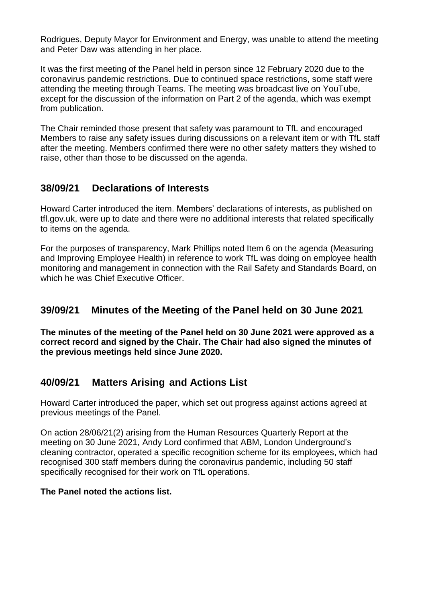Rodrigues, Deputy Mayor for Environment and Energy, was unable to attend the meeting and Peter Daw was attending in her place.

It was the first meeting of the Panel held in person since 12 February 2020 due to the coronavirus pandemic restrictions. Due to continued space restrictions, some staff were attending the meeting through Teams. The meeting was broadcast live on YouTube, except for the discussion of the information on Part 2 of the agenda, which was exempt from publication.

The Chair reminded those present that safety was paramount to TfL and encouraged Members to raise any safety issues during discussions on a relevant item or with TfL staff after the meeting. Members confirmed there were no other safety matters they wished to raise, other than those to be discussed on the agenda.

## **38/09/21 Declarations of Interests**

Howard Carter introduced the item. Members' declarations of interests, as published on tfl.gov.uk, were up to date and there were no additional interests that related specifically to items on the agenda.

For the purposes of transparency, Mark Phillips noted Item 6 on the agenda (Measuring and Improving Employee Health) in reference to work TfL was doing on employee health monitoring and management in connection with the Rail Safety and Standards Board, on which he was Chief Executive Officer.

## **39/09/21 Minutes of the Meeting of the Panel held on 30 June 2021**

**The minutes of the meeting of the Panel held on 30 June 2021 were approved as a correct record and signed by the Chair. The Chair had also signed the minutes of the previous meetings held since June 2020.**

## **40/09/21 Matters Arising and Actions List**

Howard Carter introduced the paper, which set out progress against actions agreed at previous meetings of the Panel.

On action 28/06/21(2) arising from the Human Resources Quarterly Report at the meeting on 30 June 2021, Andy Lord confirmed that ABM, London Underground's cleaning contractor, operated a specific recognition scheme for its employees, which had recognised 300 staff members during the coronavirus pandemic, including 50 staff specifically recognised for their work on TfL operations.

### **The Panel noted the actions list.**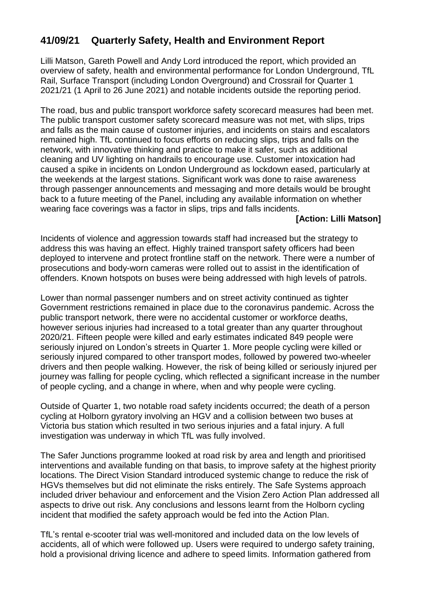# **41/09/21 Quarterly Safety, Health and Environment Report**

Lilli Matson, Gareth Powell and Andy Lord introduced the report, which provided an overview of safety, health and environmental performance for London Underground, TfL Rail, Surface Transport (including London Overground) and Crossrail for Quarter 1 2021/21 (1 April to 26 June 2021) and notable incidents outside the reporting period.

The road, bus and public transport workforce safety scorecard measures had been met. The public transport customer safety scorecard measure was not met, with slips, trips and falls as the main cause of customer injuries, and incidents on stairs and escalators remained high. TfL continued to focus efforts on reducing slips, trips and falls on the network, with innovative thinking and practice to make it safer, such as additional cleaning and UV lighting on handrails to encourage use. Customer intoxication had caused a spike in incidents on London Underground as lockdown eased, particularly at the weekends at the largest stations. Significant work was done to raise awareness through passenger announcements and messaging and more details would be brought back to a future meeting of the Panel, including any available information on whether wearing face coverings was a factor in slips, trips and falls incidents.

### **[Action: Lilli Matson]**

Incidents of violence and aggression towards staff had increased but the strategy to address this was having an effect. Highly trained transport safety officers had been deployed to intervene and protect frontline staff on the network. There were a number of prosecutions and body-worn cameras were rolled out to assist in the identification of offenders. Known hotspots on buses were being addressed with high levels of patrols.

Lower than normal passenger numbers and on street activity continued as tighter Government restrictions remained in place due to the coronavirus pandemic. Across the public transport network, there were no accidental customer or workforce deaths, however serious injuries had increased to a total greater than any quarter throughout 2020/21. Fifteen people were killed and early estimates indicated 849 people were seriously injured on London's streets in Quarter 1. More people cycling were killed or seriously injured compared to other transport modes, followed by powered two-wheeler drivers and then people walking. However, the risk of being killed or seriously injured per journey was falling for people cycling, which reflected a significant increase in the number of people cycling, and a change in where, when and why people were cycling.

Outside of Quarter 1, two notable road safety incidents occurred; the death of a person cycling at Holborn gyratory involving an HGV and a collision between two buses at Victoria bus station which resulted in two serious injuries and a fatal injury. A full investigation was underway in which TfL was fully involved.

The Safer Junctions programme looked at road risk by area and length and prioritised interventions and available funding on that basis, to improve safety at the highest priority locations. The Direct Vision Standard introduced systemic change to reduce the risk of HGVs themselves but did not eliminate the risks entirely. The Safe Systems approach included driver behaviour and enforcement and the Vision Zero Action Plan addressed all aspects to drive out risk. Any conclusions and lessons learnt from the Holborn cycling incident that modified the safety approach would be fed into the Action Plan.

TfL's rental e-scooter trial was well-monitored and included data on the low levels of accidents, all of which were followed up. Users were required to undergo safety training, hold a provisional driving licence and adhere to speed limits. Information gathered from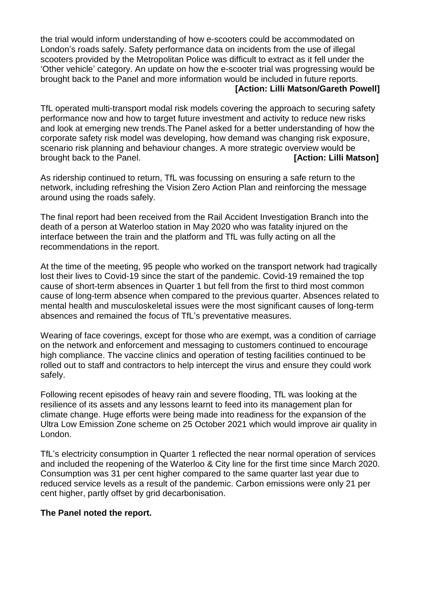the trial would inform understanding of how e-scooters could be accommodated on London's roads safely. Safety performance data on incidents from the use of illegal scooters provided by the Metropolitan Police was difficult to extract as it fell under the 'Other vehicle' category. An update on how the e-scooter trial was progressing would be brought back to the Panel and more information would be included in future reports.  **[Action: Lilli Matson/Gareth Powell]**

TfL operated multi-transport modal risk models covering the approach to securing safety performance now and how to target future investment and activity to reduce new risks and look at emerging new trends.The Panel asked for a better understanding of how the corporate safety risk model was developing, how demand was changing risk exposure, scenario risk planning and behaviour changes. A more strategic overview would be brought back to the Panel. *CONDER CONDER (SACTION: LIIII Matson]* 

As ridership continued to return, TfL was focussing on ensuring a safe return to the network, including refreshing the Vision Zero Action Plan and reinforcing the message around using the roads safely.

The final report had been received from the Rail Accident Investigation Branch into the death of a person at Waterloo station in May 2020 who was fatality injured on the interface between the train and the platform and TfL was fully acting on all the recommendations in the report.

At the time of the meeting, 95 people who worked on the transport network had tragically lost their lives to Covid-19 since the start of the pandemic. Covid-19 remained the top cause of short-term absences in Quarter 1 but fell from the first to third most common cause of long-term absence when compared to the previous quarter. Absences related to mental health and musculoskeletal issues were the most significant causes of long-term absences and remained the focus of TfL's preventative measures.

Wearing of face coverings, except for those who are exempt, was a condition of carriage on the network and enforcement and messaging to customers continued to encourage high compliance. The vaccine clinics and operation of testing facilities continued to be rolled out to staff and contractors to help intercept the virus and ensure they could work safely.

Following recent episodes of heavy rain and severe flooding, TfL was looking at the resilience of its assets and any lessons learnt to feed into its management plan for climate change. Huge efforts were being made into readiness for the expansion of the Ultra Low Emission Zone scheme on 25 October 2021 which would improve air quality in London.

TfL's electricity consumption in Quarter 1 reflected the near normal operation of services and included the reopening of the Waterloo & City line for the first time since March 2020. Consumption was 31 per cent higher compared to the same quarter last year due to reduced service levels as a result of the pandemic. Carbon emissions were only 21 per cent higher, partly offset by grid decarbonisation.

### **The Panel noted the report.**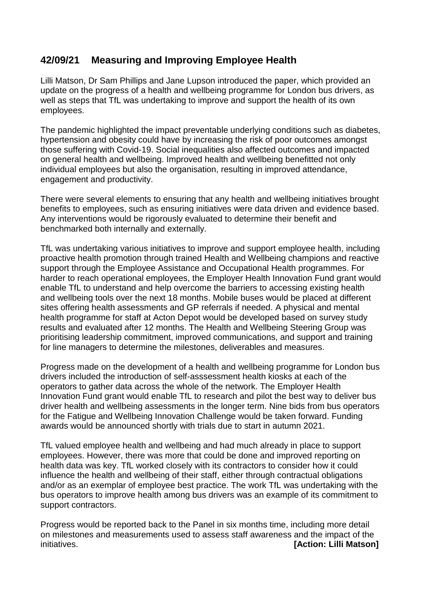# **42/09/21 Measuring and Improving Employee Health**

Lilli Matson, Dr Sam Phillips and Jane Lupson introduced the paper, which provided an update on the progress of a health and wellbeing programme for London bus drivers, as well as steps that TfL was undertaking to improve and support the health of its own employees.

The pandemic highlighted the impact preventable underlying conditions such as diabetes, hypertension and obesity could have by increasing the risk of poor outcomes amongst those suffering with Covid-19. Social inequalities also affected outcomes and impacted on general health and wellbeing. Improved health and wellbeing benefitted not only individual employees but also the organisation, resulting in improved attendance, engagement and productivity.

There were several elements to ensuring that any health and wellbeing initiatives brought benefits to employees, such as ensuring initiatives were data driven and evidence based. Any interventions would be rigorously evaluated to determine their benefit and benchmarked both internally and externally.

TfL was undertaking various initiatives to improve and support employee health, including proactive health promotion through trained Health and Wellbeing champions and reactive support through the Employee Assistance and Occupational Health programmes. For harder to reach operational employees, the Employer Health Innovation Fund grant would enable TfL to understand and help overcome the barriers to accessing existing health and wellbeing tools over the next 18 months. Mobile buses would be placed at different sites offering health assessments and GP referrals if needed. A physical and mental health programme for staff at Acton Depot would be developed based on survey study results and evaluated after 12 months. The Health and Wellbeing Steering Group was prioritising leadership commitment, improved communications, and support and training for line managers to determine the milestones, deliverables and measures.

Progress made on the development of a health and wellbeing programme for London bus drivers included the introduction of self-asssessment health kiosks at each of the operators to gather data across the whole of the network. The Employer Health Innovation Fund grant would enable TfL to research and pilot the best way to deliver bus driver health and wellbeing assessments in the longer term. Nine bids from bus operators for the Fatigue and Wellbeing Innovation Challenge would be taken forward. Funding awards would be announced shortly with trials due to start in autumn 2021.

TfL valued employee health and wellbeing and had much already in place to support employees. However, there was more that could be done and improved reporting on health data was key. TfL worked closely with its contractors to consider how it could influence the health and wellbeing of their staff, either through contractual obligations and/or as an exemplar of employee best practice. The work TfL was undertaking with the bus operators to improve health among bus drivers was an example of its commitment to support contractors.

Progress would be reported back to the Panel in six months time, including more detail on milestones and measurements used to assess staff awareness and the impact of the initiatives. **[Action: Lilli Matson]**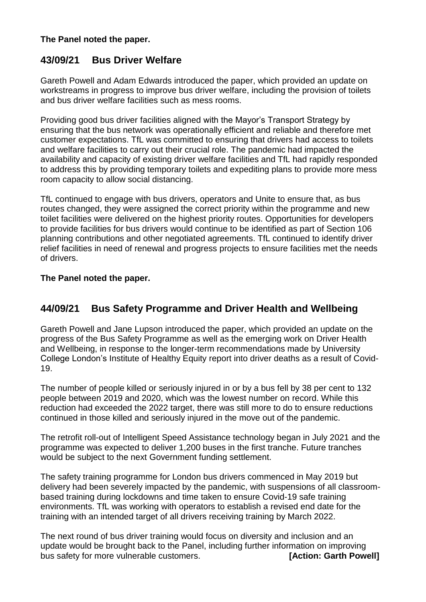### **The Panel noted the paper.**

## **43/09/21 Bus Driver Welfare**

Gareth Powell and Adam Edwards introduced the paper, which provided an update on workstreams in progress to improve bus driver welfare, including the provision of toilets and bus driver welfare facilities such as mess rooms.

Providing good bus driver facilities aligned with the Mayor's Transport Strategy by ensuring that the bus network was operationally efficient and reliable and therefore met customer expectations. TfL was committed to ensuring that drivers had access to toilets and welfare facilities to carry out their crucial role. The pandemic had impacted the availability and capacity of existing driver welfare facilities and TfL had rapidly responded to address this by providing temporary toilets and expediting plans to provide more mess room capacity to allow social distancing.

TfL continued to engage with bus drivers, operators and Unite to ensure that, as bus routes changed, they were assigned the correct priority within the programme and new toilet facilities were delivered on the highest priority routes. Opportunities for developers to provide facilities for bus drivers would continue to be identified as part of Section 106 planning contributions and other negotiated agreements. TfL continued to identify driver relief facilities in need of renewal and progress projects to ensure facilities met the needs of drivers.

### **The Panel noted the paper.**

## **44/09/21 Bus Safety Programme and Driver Health and Wellbeing**

Gareth Powell and Jane Lupson introduced the paper, which provided an update on the progress of the Bus Safety Programme as well as the emerging work on Driver Health and Wellbeing, in response to the longer-term recommendations made by University College London's Institute of Healthy Equity report into driver deaths as a result of Covid-19.

The number of people killed or seriously injured in or by a bus fell by 38 per cent to 132 people between 2019 and 2020, which was the lowest number on record. While this reduction had exceeded the 2022 target, there was still more to do to ensure reductions continued in those killed and seriously injured in the move out of the pandemic.

The retrofit roll-out of Intelligent Speed Assistance technology began in July 2021 and the programme was expected to deliver 1,200 buses in the first tranche. Future tranches would be subject to the next Government funding settlement.

The safety training programme for London bus drivers commenced in May 2019 but delivery had been severely impacted by the pandemic, with suspensions of all classroombased training during lockdowns and time taken to ensure Covid-19 safe training environments. TfL was working with operators to establish a revised end date for the training with an intended target of all drivers receiving training by March 2022.

The next round of bus driver training would focus on diversity and inclusion and an update would be brought back to the Panel, including further information on improving bus safety for more vulnerable customers. **[Action: Garth Powell]**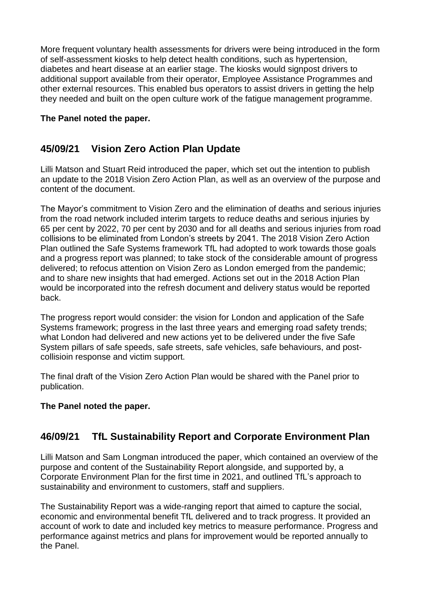More frequent voluntary health assessments for drivers were being introduced in the form of self-assessment kiosks to help detect health conditions, such as hypertension, diabetes and heart disease at an earlier stage. The kiosks would signpost drivers to additional support available from their operator, Employee Assistance Programmes and other external resources. This enabled bus operators to assist drivers in getting the help they needed and built on the open culture work of the fatigue management programme.

### **The Panel noted the paper.**

# **45/09/21 Vision Zero Action Plan Update**

Lilli Matson and Stuart Reid introduced the paper, which set out the intention to publish an update to the 2018 Vision Zero Action Plan, as well as an overview of the purpose and content of the document.

The Mayor's commitment to Vision Zero and the elimination of deaths and serious injuries from the road network included interim targets to reduce deaths and serious injuries by 65 per cent by 2022, 70 per cent by 2030 and for all deaths and serious injuries from road collisions to be eliminated from London's streets by 2041. The 2018 Vision Zero Action Plan outlined the Safe Systems framework TfL had adopted to work towards those goals and a progress report was planned; to take stock of the considerable amount of progress delivered; to refocus attention on Vision Zero as London emerged from the pandemic; and to share new insights that had emerged. Actions set out in the 2018 Action Plan would be incorporated into the refresh document and delivery status would be reported back.

The progress report would consider: the vision for London and application of the Safe Systems framework; progress in the last three years and emerging road safety trends; what London had delivered and new actions yet to be delivered under the five Safe System pillars of safe speeds, safe streets, safe vehicles, safe behaviours, and postcollisioin response and victim support.

The final draft of the Vision Zero Action Plan would be shared with the Panel prior to publication.

### **The Panel noted the paper.**

# **46/09/21 TfL Sustainability Report and Corporate Environment Plan**

Lilli Matson and Sam Longman introduced the paper, which contained an overview of the purpose and content of the Sustainability Report alongside, and supported by, a Corporate Environment Plan for the first time in 2021, and outlined TfL's approach to sustainability and environment to customers, staff and suppliers.

The Sustainability Report was a wide-ranging report that aimed to capture the social, economic and environmental benefit TfL delivered and to track progress. It provided an account of work to date and included key metrics to measure performance. Progress and performance against metrics and plans for improvement would be reported annually to the Panel.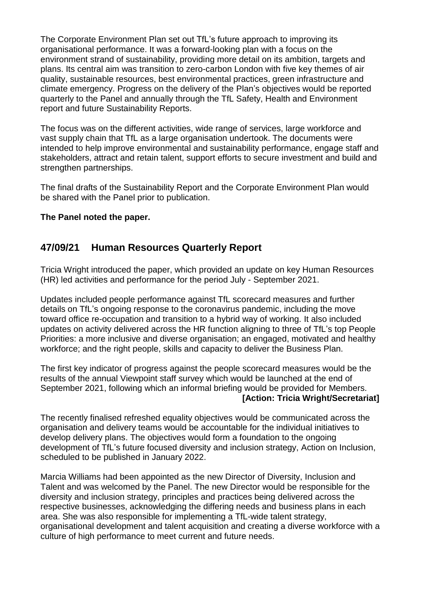The Corporate Environment Plan set out TfL's future approach to improving its organisational performance. It was a forward-looking plan with a focus on the environment strand of sustainability, providing more detail on its ambition, targets and plans. Its central aim was transition to zero-carbon London with five key themes of air quality, sustainable resources, best environmental practices, green infrastructure and climate emergency. Progress on the delivery of the Plan's objectives would be reported quarterly to the Panel and annually through the TfL Safety, Health and Environment report and future Sustainability Reports.

The focus was on the different activities, wide range of services, large workforce and vast supply chain that TfL as a large organisation undertook. The documents were intended to help improve environmental and sustainability performance, engage staff and stakeholders, attract and retain talent, support efforts to secure investment and build and strengthen partnerships.

The final drafts of the Sustainability Report and the Corporate Environment Plan would be shared with the Panel prior to publication.

### **The Panel noted the paper.**

### **47/09/21 Human Resources Quarterly Report**

Tricia Wright introduced the paper, which provided an update on key Human Resources (HR) led activities and performance for the period July - September 2021.

Updates included people performance against TfL scorecard measures and further details on TfL's ongoing response to the coronavirus pandemic, including the move toward office re-occupation and transition to a hybrid way of working. It also included updates on activity delivered across the HR function aligning to three of TfL's top People Priorities: a more inclusive and diverse organisation; an engaged, motivated and healthy workforce; and the right people, skills and capacity to deliver the Business Plan.

The first key indicator of progress against the people scorecard measures would be the results of the annual Viewpoint staff survey which would be launched at the end of September 2021, following which an informal briefing would be provided for Members.  **[Action: Tricia Wright/Secretariat]**

The recently finalised refreshed equality objectives would be communicated across the organisation and delivery teams would be accountable for the individual initiatives to develop delivery plans. The objectives would form a foundation to the ongoing development of TfL's future focused diversity and inclusion strategy, Action on Inclusion, scheduled to be published in January 2022.

Marcia Williams had been appointed as the new Director of Diversity, Inclusion and Talent and was welcomed by the Panel. The new Director would be responsible for the diversity and inclusion strategy, principles and practices being delivered across the respective businesses, acknowledging the differing needs and business plans in each area. She was also responsible for implementing a TfL-wide talent strategy, organisational development and talent acquisition and creating a diverse workforce with a culture of high performance to meet current and future needs.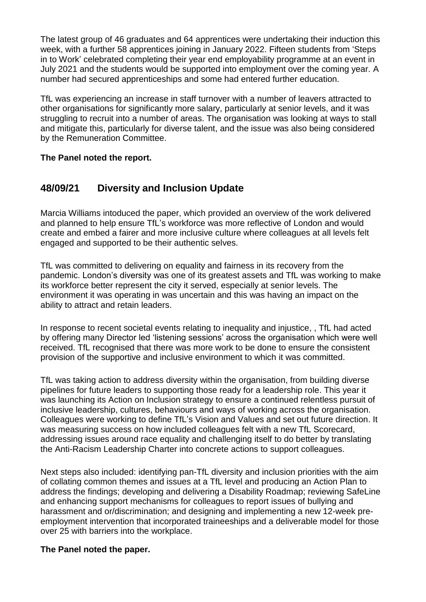The latest group of 46 graduates and 64 apprentices were undertaking their induction this week, with a further 58 apprentices joining in January 2022. Fifteen students from 'Steps in to Work' celebrated completing their year end employability programme at an event in July 2021 and the students would be supported into employment over the coming year. A number had secured apprenticeships and some had entered further education.

TfL was experiencing an increase in staff turnover with a number of leavers attracted to other organisations for significantly more salary, particularly at senior levels, and it was struggling to recruit into a number of areas. The organisation was looking at ways to stall and mitigate this, particularly for diverse talent, and the issue was also being considered by the Remuneration Committee.

### **The Panel noted the report.**

## **48/09/21 Diversity and Inclusion Update**

Marcia Williams intoduced the paper, which provided an overview of the work delivered and planned to help ensure TfL's workforce was more reflective of London and would create and embed a fairer and more inclusive culture where colleagues at all levels felt engaged and supported to be their authentic selves.

TfL was committed to delivering on equality and fairness in its recovery from the pandemic. London's diversity was one of its greatest assets and TfL was working to make its workforce better represent the city it served, especially at senior levels. The environment it was operating in was uncertain and this was having an impact on the ability to attract and retain leaders.

In response to recent societal events relating to inequality and injustice, , TfL had acted by offering many Director led 'listening sessions' across the organisation which were well received. TfL recognised that there was more work to be done to ensure the consistent provision of the supportive and inclusive environment to which it was committed.

TfL was taking action to address diversity within the organisation, from building diverse pipelines for future leaders to supporting those ready for a leadership role. This year it was launching its Action on Inclusion strategy to ensure a continued relentless pursuit of inclusive leadership, cultures, behaviours and ways of working across the organisation. Colleagues were working to define TfL's Vision and Values and set out future direction. It was measuring success on how included colleagues felt with a new TfL Scorecard, addressing issues around race equality and challenging itself to do better by translating the Anti-Racism Leadership Charter into concrete actions to support colleagues.

Next steps also included: identifying pan-TfL diversity and inclusion priorities with the aim of collating common themes and issues at a TfL level and producing an Action Plan to address the findings; developing and delivering a Disability Roadmap; reviewing SafeLine and enhancing support mechanisms for colleagues to report issues of bullying and harassment and or/discrimination; and designing and implementing a new 12-week preemployment intervention that incorporated traineeships and a deliverable model for those over 25 with barriers into the workplace.

### **The Panel noted the paper.**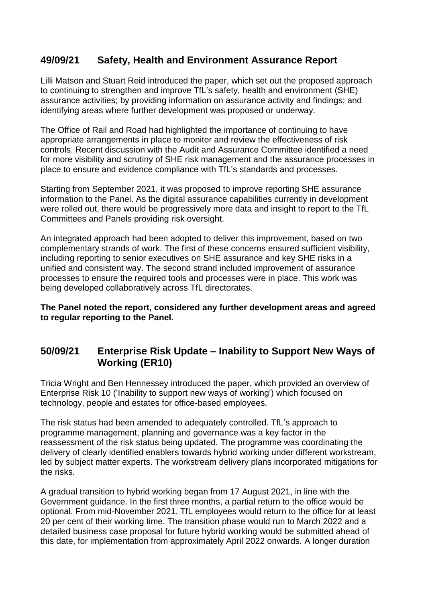## **49/09/21 Safety, Health and Environment Assurance Report**

Lilli Matson and Stuart Reid introduced the paper, which set out the proposed approach to continuing to strengthen and improve TfL's safety, health and environment (SHE) assurance activities; by providing information on assurance activity and findings; and identifying areas where further development was proposed or underway.

The Office of Rail and Road had highlighted the importance of continuing to have appropriate arrangements in place to monitor and review the effectiveness of risk controls. Recent discussion with the Audit and Assurance Committee identified a need for more visibility and scrutiny of SHE risk management and the assurance processes in place to ensure and evidence compliance with TfL's standards and processes.

Starting from September 2021, it was proposed to improve reporting SHE assurance information to the Panel. As the digital assurance capabilities currently in development were rolled out, there would be progressively more data and insight to report to the TfL Committees and Panels providing risk oversight.

An integrated approach had been adopted to deliver this improvement, based on two complementary strands of work. The first of these concerns ensured sufficient visibility, including reporting to senior executives on SHE assurance and key SHE risks in a unified and consistent way. The second strand included improvement of assurance processes to ensure the required tools and processes were in place. This work was being developed collaboratively across TfL directorates.

**The Panel noted the report, considered any further development areas and agreed to regular reporting to the Panel.**

## **50/09/21 Enterprise Risk Update – Inability to Support New Ways of Working (ER10)**

Tricia Wright and Ben Hennessey introduced the paper, which provided an overview of Enterprise Risk 10 ('Inability to support new ways of working') which focused on technology, people and estates for office-based employees.

The risk status had been amended to adequately controlled. TfL's approach to programme management, planning and governance was a key factor in the reassessment of the risk status being updated. The programme was coordinating the delivery of clearly identified enablers towards hybrid working under different workstream, led by subject matter experts. The workstream delivery plans incorporated mitigations for the risks.

A gradual transition to hybrid working began from 17 August 2021, in line with the Government guidance. In the first three months, a partial return to the office would be optional. From mid-November 2021, TfL employees would return to the office for at least 20 per cent of their working time. The transition phase would run to March 2022 and a detailed business case proposal for future hybrid working would be submitted ahead of this date, for implementation from approximately April 2022 onwards. A longer duration